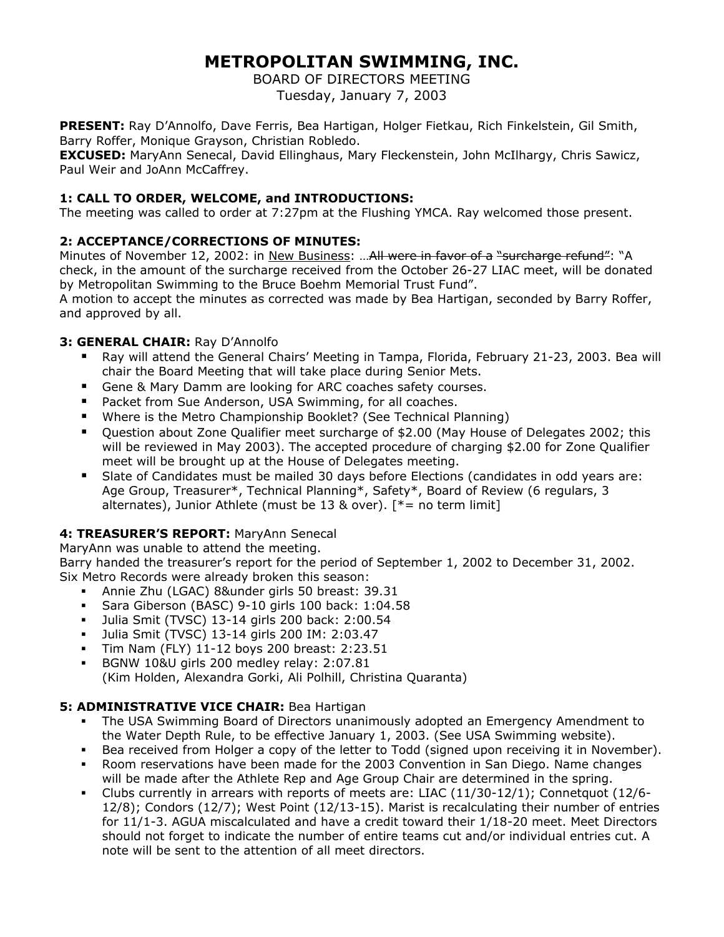# **METROPOLITAN SWIMMING, INC.**

BOARD OF DIRECTORS MEETING

Tuesday, January 7, 2003

**PRESENT:** Ray D'Annolfo, Dave Ferris, Bea Hartigan, Holger Fietkau, Rich Finkelstein, Gil Smith, Barry Roffer, Monique Grayson, Christian Robledo.

**EXCUSED:** MaryAnn Senecal, David Ellinghaus, Mary Fleckenstein, John McIlhargy, Chris Sawicz, Paul Weir and JoAnn McCaffrey.

# **1: CALL TO ORDER, WELCOME, and INTRODUCTIONS:**

The meeting was called to order at 7:27pm at the Flushing YMCA. Ray welcomed those present.

# **2: ACCEPTANCE/CORRECTIONS OF MINUTES:**

Minutes of November 12, 2002: in New Business: ... All were in favor of a "surcharge refund": "A check, in the amount of the surcharge received from the October 26-27 LIAC meet, will be donated by Metropolitan Swimming to the Bruce Boehm Memorial Trust Fund".

A motion to accept the minutes as corrected was made by Bea Hartigan, seconded by Barry Roffer, and approved by all.

# **3: GENERAL CHAIR:** Ray D'Annolfo

- Ray will attend the General Chairs' Meeting in Tampa, Florida, February 21-23, 2003. Bea will chair the Board Meeting that will take place during Senior Mets.
- **Gene & Mary Damm are looking for ARC coaches safety courses.**
- **Packet from Sue Anderson, USA Swimming, for all coaches.**
- Where is the Metro Championship Booklet? (See Technical Planning)
- Question about Zone Qualifier meet surcharge of \$2.00 (May House of Delegates 2002; this will be reviewed in May 2003). The accepted procedure of charging \$2.00 for Zone Qualifier meet will be brought up at the House of Delegates meeting.
- Slate of Candidates must be mailed 30 days before Elections (candidates in odd years are: Age Group, Treasurer\*, Technical Planning\*, Safety\*, Board of Review (6 regulars, 3 alternates), Junior Athlete (must be 13 & over).  $[*=$  no term limit]

# **4: TREASURER'S REPORT:** MaryAnn Senecal

MaryAnn was unable to attend the meeting.

Barry handed the treasurer's report for the period of September 1, 2002 to December 31, 2002. Six Metro Records were already broken this season:

- Annie Zhu (LGAC) 8&under girls 50 breast: 39.31
- Sara Giberson (BASC) 9-10 girls 100 back: 1:04.58
- Julia Smit (TVSC) 13-14 girls 200 back: 2:00.54
- Julia Smit (TVSC) 13-14 girls 200 IM: 2:03.47
- Tim Nam (FLY) 11-12 boys 200 breast: 2:23.51
- BGNW 10&U girls 200 medley relay: 2:07.81 (Kim Holden, Alexandra Gorki, Ali Polhill, Christina Quaranta)

# **5: ADMINISTRATIVE VICE CHAIR:** Bea Hartigan

- The USA Swimming Board of Directors unanimously adopted an Emergency Amendment to the Water Depth Rule, to be effective January 1, 2003. (See USA Swimming website).
- Bea received from Holger a copy of the letter to Todd (signed upon receiving it in November).
- Room reservations have been made for the 2003 Convention in San Diego. Name changes will be made after the Athlete Rep and Age Group Chair are determined in the spring.
- Clubs currently in arrears with reports of meets are: LIAC (11/30-12/1); Connetquot (12/6- 12/8); Condors (12/7); West Point (12/13-15). Marist is recalculating their number of entries for 11/1-3. AGUA miscalculated and have a credit toward their 1/18-20 meet. Meet Directors should not forget to indicate the number of entire teams cut and/or individual entries cut. A note will be sent to the attention of all meet directors.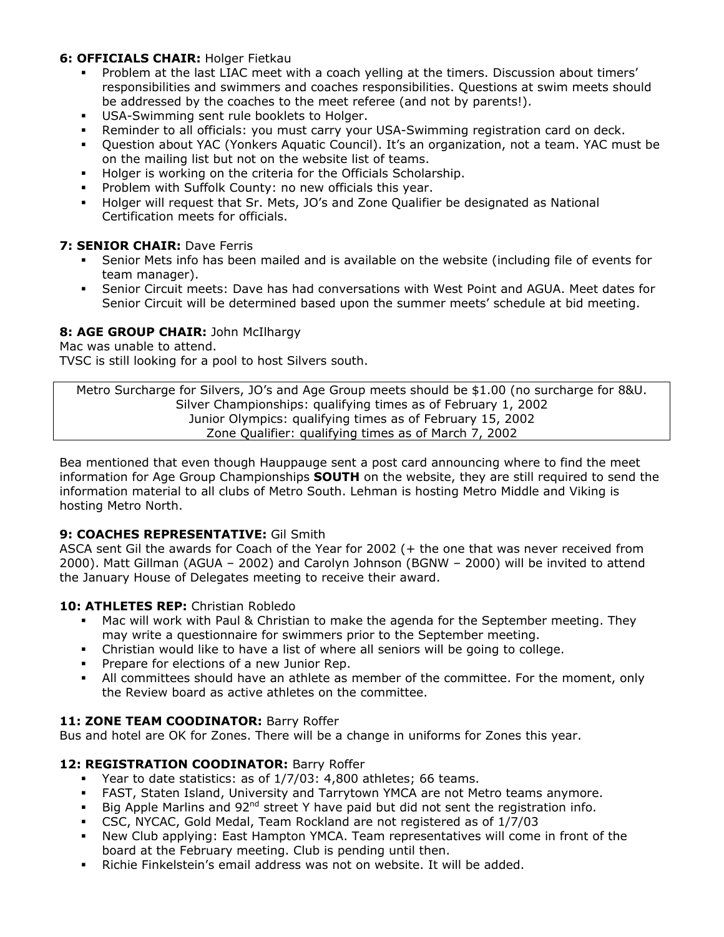## **6: OFFICIALS CHAIR:** Holger Fietkau

- Problem at the last LIAC meet with a coach yelling at the timers. Discussion about timers' responsibilities and swimmers and coaches responsibilities. Questions at swim meets should be addressed by the coaches to the meet referee (and not by parents!).
- USA-Swimming sent rule booklets to Holger.
- Reminder to all officials: you must carry your USA-Swimming registration card on deck.
- Question about YAC (Yonkers Aquatic Council). It's an organization, not a team. YAC must be on the mailing list but not on the website list of teams.
- **Holger is working on the criteria for the Officials Scholarship.**
- Problem with Suffolk County: no new officials this year.
- Holger will request that Sr. Mets, JO's and Zone Qualifier be designated as National Certification meets for officials.

#### **7: SENIOR CHAIR:** Dave Ferris

- Senior Mets info has been mailed and is available on the website (including file of events for team manager).
- Senior Circuit meets: Dave has had conversations with West Point and AGUA. Meet dates for Senior Circuit will be determined based upon the summer meets' schedule at bid meeting.

## 8: AGE GROUP CHAIR: John McIlhargy

Mac was unable to attend.

TVSC is still looking for a pool to host Silvers south.

Metro Surcharge for Silvers, JO's and Age Group meets should be \$1.00 (no surcharge for 8&U. Silver Championships: qualifying times as of February 1, 2002 Junior Olympics: qualifying times as of February 15, 2002 Zone Qualifier: qualifying times as of March 7, 2002

Bea mentioned that even though Hauppauge sent a post card announcing where to find the meet information for Age Group Championships **SOUTH** on the website, they are still required to send the information material to all clubs of Metro South. Lehman is hosting Metro Middle and Viking is hosting Metro North.

# **9: COACHES REPRESENTATIVE:** Gil Smith

ASCA sent Gil the awards for Coach of the Year for 2002 (+ the one that was never received from 2000). Matt Gillman (AGUA – 2002) and Carolyn Johnson (BGNW – 2000) will be invited to attend the January House of Delegates meeting to receive their award.

#### **10: ATHLETES REP:** Christian Robledo

- Mac will work with Paul & Christian to make the agenda for the September meeting. They may write a questionnaire for swimmers prior to the September meeting.
- Christian would like to have a list of where all seniors will be going to college.
- Prepare for elections of a new Junior Rep.
- All committees should have an athlete as member of the committee. For the moment, only the Review board as active athletes on the committee.

#### **11: ZONE TEAM COODINATOR:** Barry Roffer

Bus and hotel are OK for Zones. There will be a change in uniforms for Zones this year.

# 12: REGISTRATION COODINATOR: Barry Roffer

- Year to date statistics: as of 1/7/03: 4,800 athletes; 66 teams.
- FAST, Staten Island, University and Tarrytown YMCA are not Metro teams anymore.
- Big Apple Marlins and  $92^{nd}$  street Y have paid but did not sent the registration info.
- CSC, NYCAC, Gold Medal, Team Rockland are not registered as of 1/7/03
- New Club applying: East Hampton YMCA. Team representatives will come in front of the board at the February meeting. Club is pending until then.
- Richie Finkelstein's email address was not on website. It will be added.